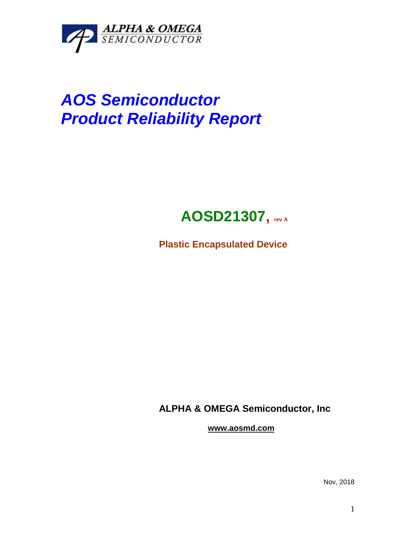

# *AOS Semiconductor Product Reliability Report*

## **AOSD21307, rev <sup>A</sup>**

**Plastic Encapsulated Device**

**ALPHA & OMEGA Semiconductor, Inc**

**www.aosmd.com**

Nov, 2018